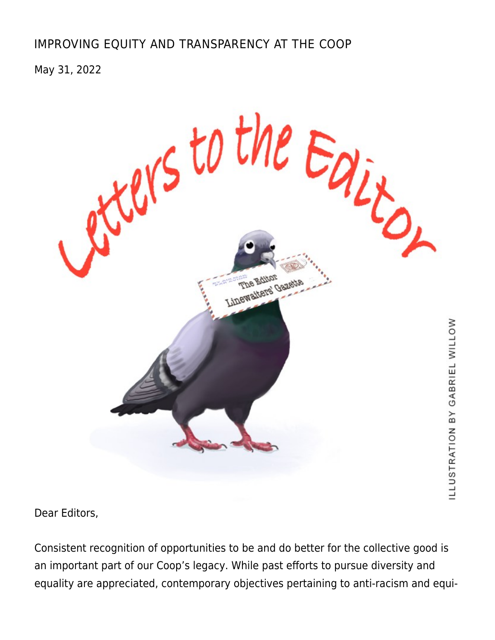## [IMPROVING EQUITY AND TRANSPARENCY AT THE COOP](https://linewaitersgazette.com/2022/05/31/letter-to-the-editor-improving-equity-and-transparency-at-the-coop/)

May 31, 2022



Dear Editors,

Consistent recognition of opportunities to be and do better for the collective good is an important part of our Coop's legacy. While past efforts to pursue diversity and equality are appreciated, contemporary objectives pertaining to anti-racism and equi